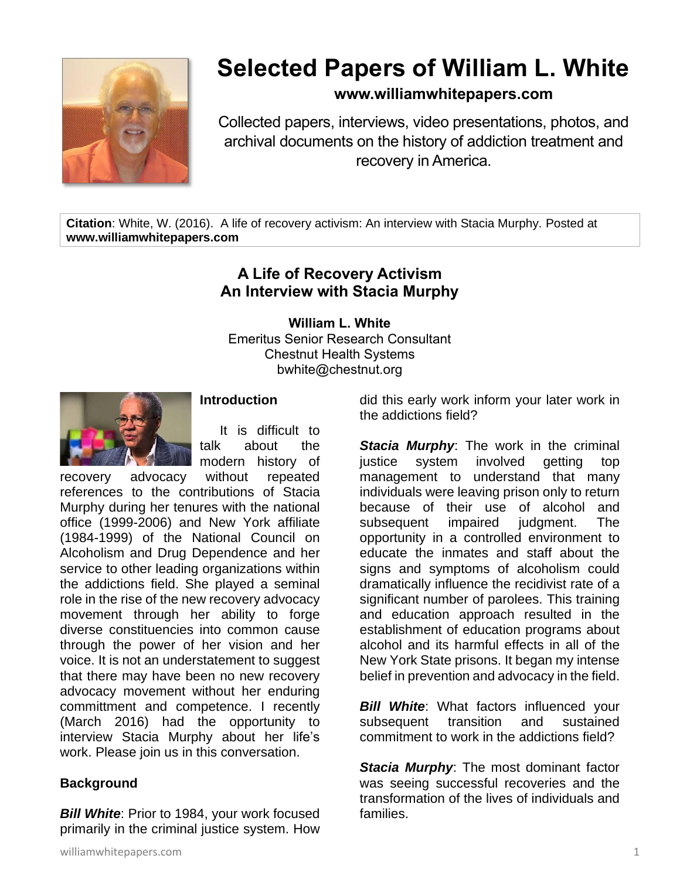

# **Selected Papers of William L. White**

## **www.williamwhitepapers.com**

Collected papers, interviews, video presentations, photos, and archival documents on the history of addiction treatment and recovery in America.

**Citation**: White, W. (2016). A life of recovery activism: An interview with Stacia Murphy. Posted at **www.williamwhitepapers.com**

## **A Life of Recovery Activism An Interview with Stacia Murphy**

**William L. White** Emeritus Senior Research Consultant Chestnut Health Systems

bwhite@chestnut.org



## **Introduction**

It is difficult to talk about the modern history of

recovery advocacy without repeated references to the contributions of Stacia Murphy during her tenures with the national office (1999-2006) and New York affiliate (1984-1999) of the National Council on Alcoholism and Drug Dependence and her service to other leading organizations within the addictions field. She played a seminal role in the rise of the new recovery advocacy movement through her ability to forge diverse constituencies into common cause through the power of her vision and her voice. It is not an understatement to suggest that there may have been no new recovery advocacy movement without her enduring committment and competence. I recently (March 2016) had the opportunity to interview Stacia Murphy about her life's work. Please join us in this conversation.

## **Background**

*Bill White*: Prior to 1984, your work focused primarily in the criminal justice system. How

did this early work inform your later work in the addictions field?

*Stacia Murphy*: The work in the criminal justice system involved getting top management to understand that many individuals were leaving prison only to return because of their use of alcohol and subsequent impaired judgment. The opportunity in a controlled environment to educate the inmates and staff about the signs and symptoms of alcoholism could dramatically influence the recidivist rate of a significant number of parolees. This training and education approach resulted in the establishment of education programs about alcohol and its harmful effects in all of the New York State prisons. It began my intense belief in prevention and advocacy in the field.

*Bill White*: What factors influenced your subsequent transition and sustained commitment to work in the addictions field?

*Stacia Murphy*: The most dominant factor was seeing successful recoveries and the transformation of the lives of individuals and families.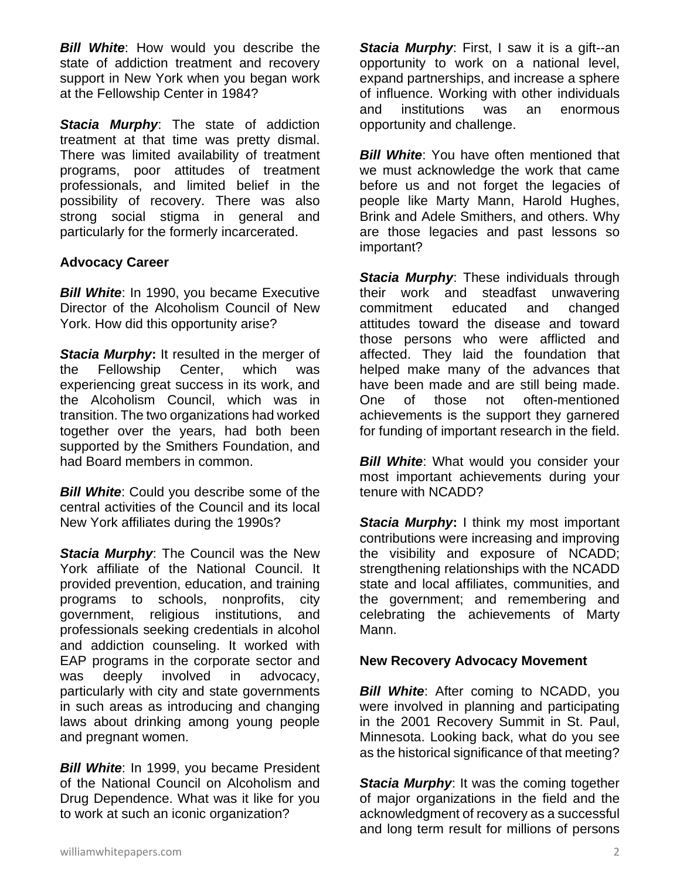*Bill White*: How would you describe the state of addiction treatment and recovery support in New York when you began work at the Fellowship Center in 1984?

*Stacia Murphy*: The state of addiction treatment at that time was pretty dismal. There was limited availability of treatment programs, poor attitudes of treatment professionals, and limited belief in the possibility of recovery. There was also strong social stigma in general and particularly for the formerly incarcerated.

### **Advocacy Career**

*Bill White*: In 1990, you became Executive Director of the Alcoholism Council of New York. How did this opportunity arise?

*Stacia Murphy***:** It resulted in the merger of the Fellowship Center, which was experiencing great success in its work, and the Alcoholism Council, which was in transition. The two organizations had worked together over the years, had both been supported by the Smithers Foundation, and had Board members in common.

*Bill White*: Could you describe some of the central activities of the Council and its local New York affiliates during the 1990s?

*Stacia Murphy*: The Council was the New York affiliate of the National Council. It provided prevention, education, and training programs to schools, nonprofits, city government, religious institutions, and professionals seeking credentials in alcohol and addiction counseling. It worked with EAP programs in the corporate sector and was deeply involved in advocacy, particularly with city and state governments in such areas as introducing and changing laws about drinking among young people and pregnant women.

*Bill White*: In 1999, you became President of the National Council on Alcoholism and Drug Dependence. What was it like for you to work at such an iconic organization?

*Stacia Murphy*: First, I saw it is a gift--an opportunity to work on a national level, expand partnerships, and increase a sphere of influence. Working with other individuals and institutions was an enormous opportunity and challenge.

*Bill White*: You have often mentioned that we must acknowledge the work that came before us and not forget the legacies of people like Marty Mann, Harold Hughes, Brink and Adele Smithers, and others. Why are those legacies and past lessons so important?

*Stacia Murphy*: These individuals through their work and steadfast unwavering commitment educated and changed attitudes toward the disease and toward those persons who were afflicted and affected. They laid the foundation that helped make many of the advances that have been made and are still being made. One of those not often-mentioned achievements is the support they garnered for funding of important research in the field.

*Bill White*: What would you consider your most important achievements during your tenure with NCADD?

*Stacia Murphy***:** I think my most important contributions were increasing and improving the visibility and exposure of NCADD; strengthening relationships with the NCADD state and local affiliates, communities, and the government; and remembering and celebrating the achievements of Marty Mann.

### **New Recovery Advocacy Movement**

*Bill White*: After coming to NCADD, you were involved in planning and participating in the 2001 Recovery Summit in St. Paul, Minnesota. Looking back, what do you see as the historical significance of that meeting?

*Stacia Murphy*: It was the coming together of major organizations in the field and the acknowledgment of recovery as a successful and long term result for millions of persons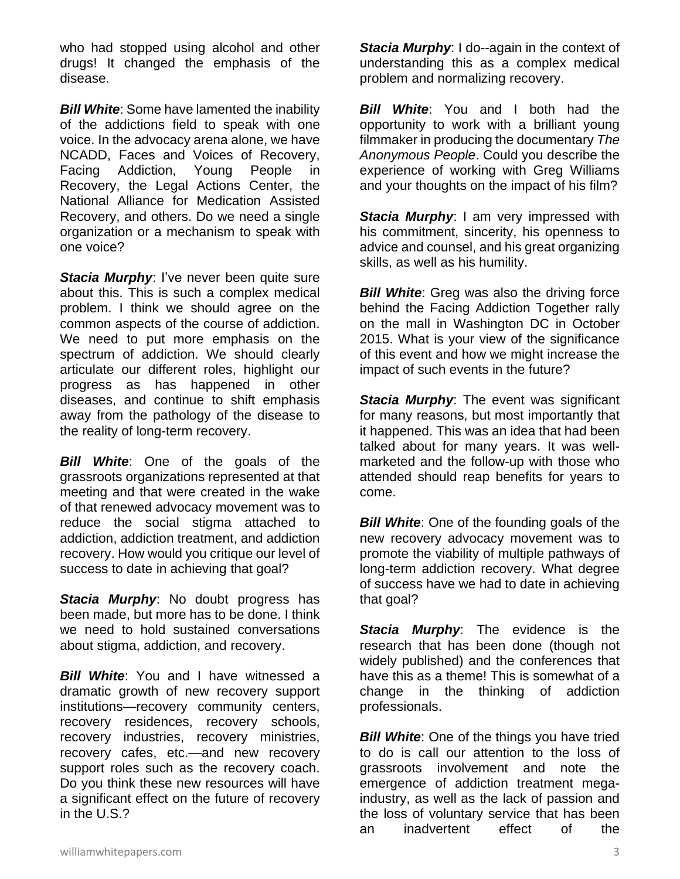who had stopped using alcohol and other drugs! It changed the emphasis of the disease.

*Bill White*: Some have lamented the inability of the addictions field to speak with one voice. In the advocacy arena alone, we have NCADD, Faces and Voices of Recovery, Facing Addiction, Young People in Recovery, the Legal Actions Center, the National Alliance for Medication Assisted Recovery, and others. Do we need a single organization or a mechanism to speak with one voice?

*Stacia Murphy*: I've never been quite sure about this. This is such a complex medical problem. I think we should agree on the common aspects of the course of addiction. We need to put more emphasis on the spectrum of addiction. We should clearly articulate our different roles, highlight our progress as has happened in other diseases, and continue to shift emphasis away from the pathology of the disease to the reality of long-term recovery.

*Bill White*: One of the goals of the grassroots organizations represented at that meeting and that were created in the wake of that renewed advocacy movement was to reduce the social stigma attached to addiction, addiction treatment, and addiction recovery. How would you critique our level of success to date in achieving that goal?

*Stacia Murphy*: No doubt progress has been made, but more has to be done. I think we need to hold sustained conversations about stigma, addiction, and recovery.

*Bill White*: You and I have witnessed a dramatic growth of new recovery support institutions—recovery community centers, recovery residences, recovery schools, recovery industries, recovery ministries, recovery cafes, etc.—and new recovery support roles such as the recovery coach. Do you think these new resources will have a significant effect on the future of recovery in the U.S.?

*Stacia Murphy*: I do--again in the context of understanding this as a complex medical problem and normalizing recovery.

*Bill White*: You and I both had the opportunity to work with a brilliant young filmmaker in producing the documentary *The Anonymous People*. Could you describe the experience of working with Greg Williams and your thoughts on the impact of his film?

*Stacia Murphy***:** I am very impressed with his commitment, sincerity, his openness to advice and counsel, and his great organizing skills, as well as his humility.

*Bill White:* Greg was also the driving force behind the Facing Addiction Together rally on the mall in Washington DC in October 2015. What is your view of the significance of this event and how we might increase the impact of such events in the future?

*Stacia Murphy*: The event was significant for many reasons, but most importantly that it happened. This was an idea that had been talked about for many years. It was wellmarketed and the follow-up with those who attended should reap benefits for years to come.

*Bill White:* One of the founding goals of the new recovery advocacy movement was to promote the viability of multiple pathways of long-term addiction recovery. What degree of success have we had to date in achieving that goal?

*Stacia Murphy*: The evidence is the research that has been done (though not widely published) and the conferences that have this as a theme! This is somewhat of a change in the thinking of addiction professionals.

*Bill White:* One of the things you have tried to do is call our attention to the loss of grassroots involvement and note the emergence of addiction treatment megaindustry, as well as the lack of passion and the loss of voluntary service that has been an inadvertent effect of the